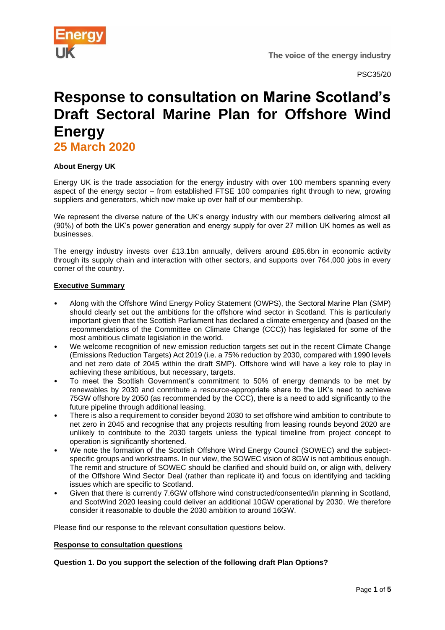

# **Response to consultation on Marine Scotland's Draft Sectoral Marine Plan for Offshore Wind Energy**

**25 March 2020** 

## **About Energy UK**

Energy UK is the trade association for the energy industry with over 100 members spanning every aspect of the energy sector – from established FTSE 100 companies right through to new, growing suppliers and generators, which now make up over half of our membership.

We represent the diverse nature of the UK's energy industry with our members delivering almost all (90%) of both the UK's power generation and energy supply for over 27 million UK homes as well as businesses.

The energy industry invests over £13.1bn annually, delivers around £85.6bn in economic activity through its supply chain and interaction with other sectors, and supports over 764,000 jobs in every corner of the country.

### **Executive Summary**

- Along with the Offshore Wind Energy Policy Statement (OWPS), the Sectoral Marine Plan (SMP) should clearly set out the ambitions for the offshore wind sector in Scotland. This is particularly important given that the Scottish Parliament has declared a climate emergency and (based on the recommendations of the Committee on Climate Change (CCC)) has legislated for some of the most ambitious climate legislation in the world.
- We welcome recognition of new emission reduction targets set out in the recent Climate Change (Emissions Reduction Targets) Act 2019 (i.e. a 75% reduction by 2030, compared with 1990 levels and net zero date of 2045 within the draft SMP). Offshore wind will have a key role to play in achieving these ambitious, but necessary, targets.
- To meet the Scottish Government's commitment to 50% of energy demands to be met by renewables by 2030 and contribute a resource-appropriate share to the UK's need to achieve 75GW offshore by 2050 (as recommended by the CCC), there is a need to add significantly to the future pipeline through additional leasing.
- There is also a requirement to consider beyond 2030 to set offshore wind ambition to contribute to net zero in 2045 and recognise that any projects resulting from leasing rounds beyond 2020 are unlikely to contribute to the 2030 targets unless the typical timeline from project concept to operation is significantly shortened.
- We note the formation of the Scottish Offshore Wind Energy Council (SOWEC) and the subjectspecific groups and workstreams. In our view, the SOWEC vision of 8GW is not ambitious enough. The remit and structure of SOWEC should be clarified and should build on, or align with, delivery of the Offshore Wind Sector Deal (rather than replicate it) and focus on identifying and tackling issues which are specific to Scotland.
- Given that there is currently 7.6GW offshore wind constructed/consented/in planning in Scotland, and ScotWind 2020 leasing could deliver an additional 10GW operational by 2030. We therefore consider it reasonable to double the 2030 ambition to around 16GW.

Please find our response to the relevant consultation questions below.

#### **Response to consultation questions**

## **Question 1. Do you support the selection of the following draft Plan Options?**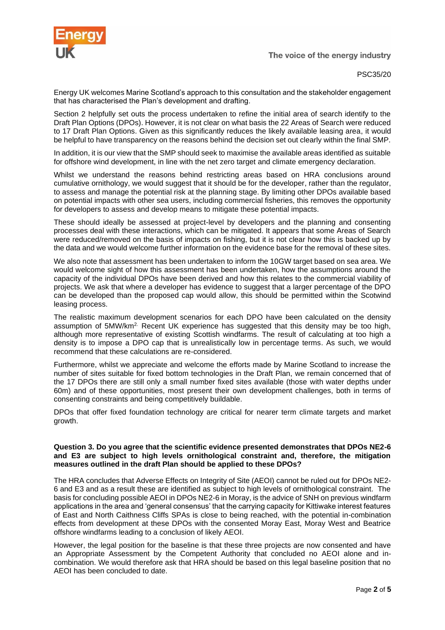

The voice of the energy industry

PSC35/20

Energy UK welcomes Marine Scotland's approach to this consultation and the stakeholder engagement that has characterised the Plan's development and drafting.

Section 2 helpfully set outs the process undertaken to refine the initial area of search identify to the Draft Plan Options (DPOs). However, it is not clear on what basis the 22 Areas of Search were reduced to 17 Draft Plan Options. Given as this significantly reduces the likely available leasing area, it would be helpful to have transparency on the reasons behind the decision set out clearly within the final SMP.

In addition, it is our view that the SMP should seek to maximise the available areas identified as suitable for offshore wind development, in line with the net zero target and climate emergency declaration.

Whilst we understand the reasons behind restricting areas based on HRA conclusions around cumulative ornithology, we would suggest that it should be for the developer, rather than the regulator, to assess and manage the potential risk at the planning stage. By limiting other DPOs available based on potential impacts with other sea users, including commercial fisheries, this removes the opportunity for developers to assess and develop means to mitigate these potential impacts.

These should ideally be assessed at project-level by developers and the planning and consenting processes deal with these interactions, which can be mitigated. It appears that some Areas of Search were reduced/removed on the basis of impacts on fishing, but it is not clear how this is backed up by the data and we would welcome further information on the evidence base for the removal of these sites.

We also note that assessment has been undertaken to inform the 10GW target based on sea area. We would welcome sight of how this assessment has been undertaken, how the assumptions around the capacity of the individual DPOs have been derived and how this relates to the commercial viability of projects. We ask that where a developer has evidence to suggest that a larger percentage of the DPO can be developed than the proposed cap would allow, this should be permitted within the Scotwind leasing process.

The realistic maximum development scenarios for each DPO have been calculated on the density assumption of 5MW/km2. Recent UK experience has suggested that this density may be too high, although more representative of existing Scottish windfarms. The result of calculating at too high a density is to impose a DPO cap that is unrealistically low in percentage terms. As such, we would recommend that these calculations are re-considered.

Furthermore, whilst we appreciate and welcome the efforts made by Marine Scotland to increase the number of sites suitable for fixed bottom technologies in the Draft Plan, we remain concerned that of the 17 DPOs there are still only a small number fixed sites available (those with water depths under 60m) and of these opportunities, most present their own development challenges, both in terms of consenting constraints and being competitively buildable.

DPOs that offer fixed foundation technology are critical for nearer term climate targets and market growth.

#### **Question 3. Do you agree that the scientific evidence presented demonstrates that DPOs NE2-6 and E3 are subject to high levels ornithological constraint and, therefore, the mitigation measures outlined in the draft Plan should be applied to these DPOs?**

The HRA concludes that Adverse Effects on Integrity of Site (AEOI) cannot be ruled out for DPOs NE2- 6 and E3 and as a result these are identified as subject to high levels of ornithological constraint. The basis for concluding possible AEOI in DPOs NE2-6 in Moray, is the advice of SNH on previous windfarm applications in the area and 'general consensus' that the carrying capacity for Kittiwake interest features of East and North Caithness Cliffs SPAs is close to being reached, with the potential in-combination effects from development at these DPOs with the consented Moray East, Moray West and Beatrice offshore windfarms leading to a conclusion of likely AEOI.

However, the legal position for the baseline is that these three projects are now consented and have an Appropriate Assessment by the Competent Authority that concluded no AEOI alone and incombination. We would therefore ask that HRA should be based on this legal baseline position that no AEOI has been concluded to date.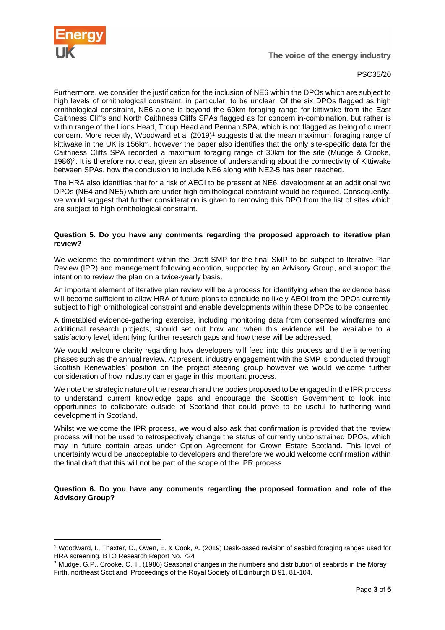

### PSC35/20

Furthermore, we consider the justification for the inclusion of NE6 within the DPOs which are subject to high levels of ornithological constraint, in particular, to be unclear. Of the six DPOs flagged as high ornithological constraint, NE6 alone is beyond the 60km foraging range for kittiwake from the East Caithness Cliffs and North Caithness Cliffs SPAs flagged as for concern in-combination, but rather is within range of the Lions Head, Troup Head and Pennan SPA, which is not flagged as being of current concern. More recently, Woodward et al (2019)<sup>1</sup> suggests that the mean maximum foraging range of kittiwake in the UK is 156km, however the paper also identifies that the only site-specific data for the Caithness Cliffs SPA recorded a maximum foraging range of 30km for the site (Mudge & Crooke, 1986)<sup>2</sup>. It is therefore not clear, given an absence of understanding about the connectivity of Kittiwake between SPAs, how the conclusion to include NE6 along with NE2-5 has been reached.

The HRA also identifies that for a risk of AEOI to be present at NE6, development at an additional two DPOs (NE4 and NE5) which are under high ornithological constraint would be required. Consequently, we would suggest that further consideration is given to removing this DPO from the list of sites which are subject to high ornithological constraint.

### **Question 5. Do you have any comments regarding the proposed approach to iterative plan review?**

We welcome the commitment within the Draft SMP for the final SMP to be subject to Iterative Plan Review (IPR) and management following adoption, supported by an Advisory Group, and support the intention to review the plan on a twice-yearly basis.

An important element of iterative plan review will be a process for identifying when the evidence base will become sufficient to allow HRA of future plans to conclude no likely AEOI from the DPOs currently subject to high ornithological constraint and enable developments within these DPOs to be consented.

A timetabled evidence-gathering exercise, including monitoring data from consented windfarms and additional research projects, should set out how and when this evidence will be available to a satisfactory level, identifying further research gaps and how these will be addressed.

We would welcome clarity regarding how developers will feed into this process and the intervening phases such as the annual review. At present, industry engagement with the SMP is conducted through Scottish Renewables' position on the project steering group however we would welcome further consideration of how industry can engage in this important process.

We note the strategic nature of the research and the bodies proposed to be engaged in the IPR process to understand current knowledge gaps and encourage the Scottish Government to look into opportunities to collaborate outside of Scotland that could prove to be useful to furthering wind development in Scotland.

Whilst we welcome the IPR process, we would also ask that confirmation is provided that the review process will not be used to retrospectively change the status of currently unconstrained DPOs, which may in future contain areas under Option Agreement for Crown Estate Scotland. This level of uncertainty would be unacceptable to developers and therefore we would welcome confirmation within the final draft that this will not be part of the scope of the IPR process.

**Question 6. Do you have any comments regarding the proposed formation and role of the Advisory Group?**

<sup>1</sup> Woodward, I., Thaxter, C., Owen, E. & Cook, A. (2019) Desk-based revision of seabird foraging ranges used for HRA screening. BTO Research Report No. 724

<sup>2</sup> Mudge, G.P., Crooke, C.H., (1986) Seasonal changes in the numbers and distribution of seabirds in the Moray Firth, northeast Scotland. Proceedings of the Royal Society of Edinburgh B 91, 81-104.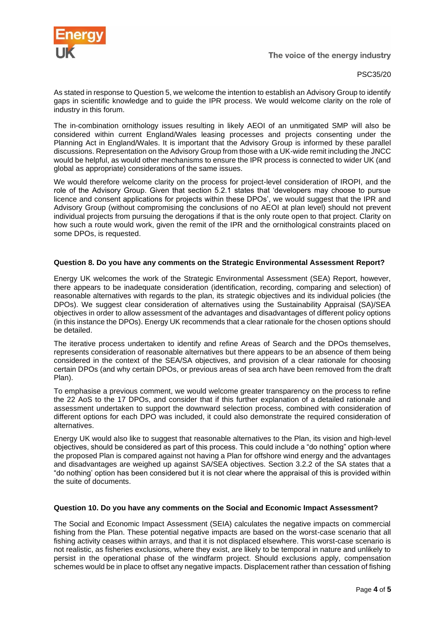

The voice of the energy industry

PSC35/20

As stated in response to Question 5, we welcome the intention to establish an Advisory Group to identify gaps in scientific knowledge and to guide the IPR process. We would welcome clarity on the role of industry in this forum.

The in-combination ornithology issues resulting in likely AEOI of an unmitigated SMP will also be considered within current England/Wales leasing processes and projects consenting under the Planning Act in England/Wales. It is important that the Advisory Group is informed by these parallel discussions. Representation on the Advisory Group from those with a UK-wide remit including the JNCC would be helpful, as would other mechanisms to ensure the IPR process is connected to wider UK (and global as appropriate) considerations of the same issues.

We would therefore welcome clarity on the process for project-level consideration of IROPI, and the role of the Advisory Group. Given that section 5.2.1 states that 'developers may choose to pursue licence and consent applications for projects within these DPOs', we would suggest that the IPR and Advisory Group (without compromising the conclusions of no AEOI at plan level) should not prevent individual projects from pursuing the derogations if that is the only route open to that project. Clarity on how such a route would work, given the remit of the IPR and the ornithological constraints placed on some DPOs, is requested.

## **Question 8. Do you have any comments on the Strategic Environmental Assessment Report?**

Energy UK welcomes the work of the Strategic Environmental Assessment (SEA) Report, however, there appears to be inadequate consideration (identification, recording, comparing and selection) of reasonable alternatives with regards to the plan, its strategic objectives and its individual policies (the DPOs). We suggest clear consideration of alternatives using the Sustainability Appraisal (SA)/SEA objectives in order to allow assessment of the advantages and disadvantages of different policy options (in this instance the DPOs). Energy UK recommends that a clear rationale for the chosen options should be detailed.

The iterative process undertaken to identify and refine Areas of Search and the DPOs themselves, represents consideration of reasonable alternatives but there appears to be an absence of them being considered in the context of the SEA/SA objectives, and provision of a clear rationale for choosing certain DPOs (and why certain DPOs, or previous areas of sea arch have been removed from the draft Plan).

To emphasise a previous comment, we would welcome greater transparency on the process to refine the 22 AoS to the 17 DPOs, and consider that if this further explanation of a detailed rationale and assessment undertaken to support the downward selection process, combined with consideration of different options for each DPO was included, it could also demonstrate the required consideration of alternatives.

Energy UK would also like to suggest that reasonable alternatives to the Plan, its vision and high-level objectives, should be considered as part of this process. This could include a "do nothing" option where the proposed Plan is compared against not having a Plan for offshore wind energy and the advantages and disadvantages are weighed up against SA/SEA objectives. Section 3.2.2 of the SA states that a "do nothing' option has been considered but it is not clear where the appraisal of this is provided within the suite of documents.

## **Question 10. Do you have any comments on the Social and Economic Impact Assessment?**

The Social and Economic Impact Assessment (SEIA) calculates the negative impacts on commercial fishing from the Plan. These potential negative impacts are based on the worst-case scenario that all fishing activity ceases within arrays, and that it is not displaced elsewhere. This worst-case scenario is not realistic, as fisheries exclusions, where they exist, are likely to be temporal in nature and unlikely to persist in the operational phase of the windfarm project. Should exclusions apply, compensation schemes would be in place to offset any negative impacts. Displacement rather than cessation of fishing